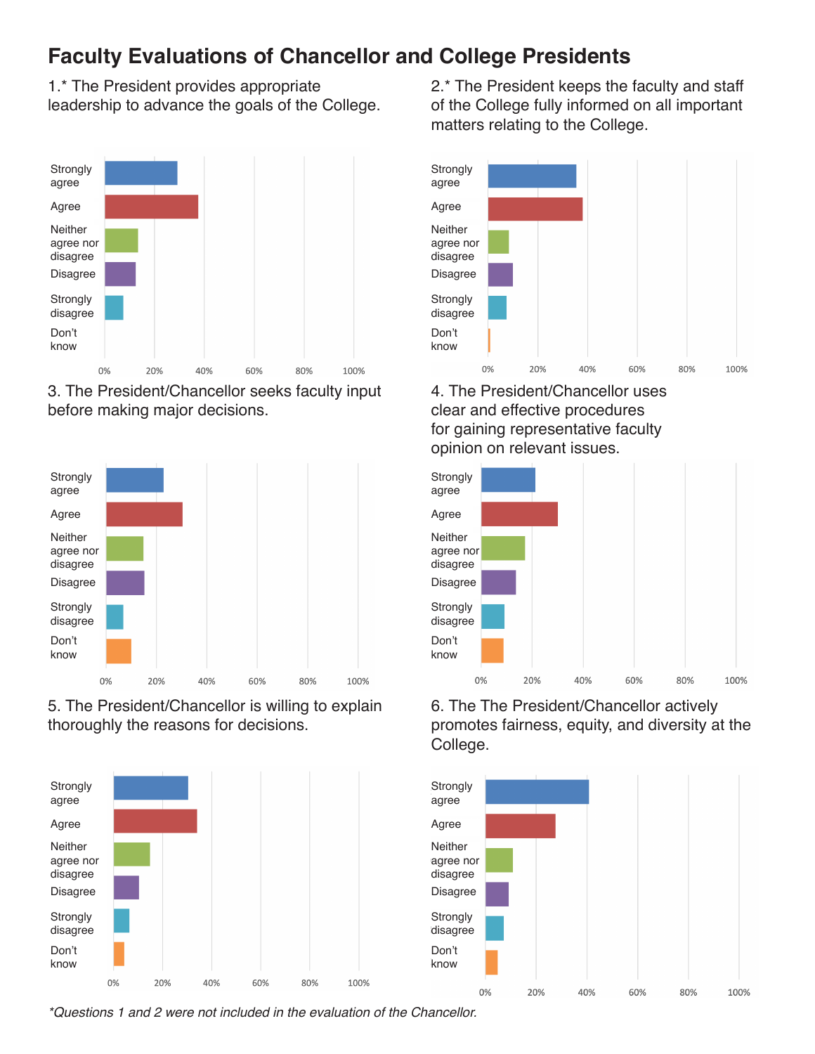## **Faculty Evaluations of Chancellor and College Presidents**

1.\* The President provides appropriate leadership to advance the goals of the College.



3. The President/Chancellor seeks faculty input before making major decisions.



5. The President/Chancellor is willing to explain thoroughly the reasons for decisions.



2.\* The President keeps the faculty and staff of the College fully informed on all important matters relating to the College.



4. The President/Chancellor uses clear and effective procedures for gaining representative faculty opinion on relevant issues.



6. The The President/Chancellor actively promotes fairness, equity, and diversity at the College.



*\*Questions 1 and 2 were not included in the evaluation of the Chancellor.*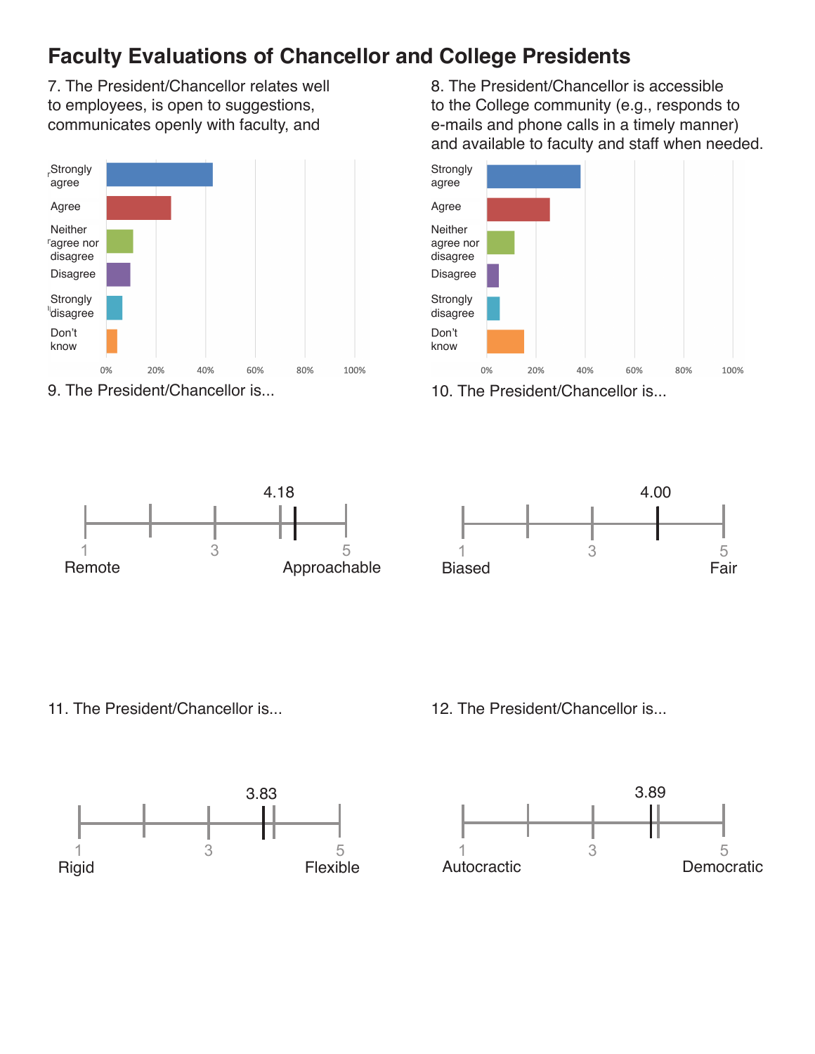## **Faculty Evaluations of Chancellor and College Presidents**

7. The President/Chancellor relates well to employees, is open to suggestions, communicates openly with faculty, and



9. The President/Chancellor is...

8. The President/Chancellor is accessible to the College community (e.g., responds to e-mails and phone calls in a timely manner) and available to faculty and staff when needed.







11. The President/Chancellor is...



12. The President/Chancellor is...